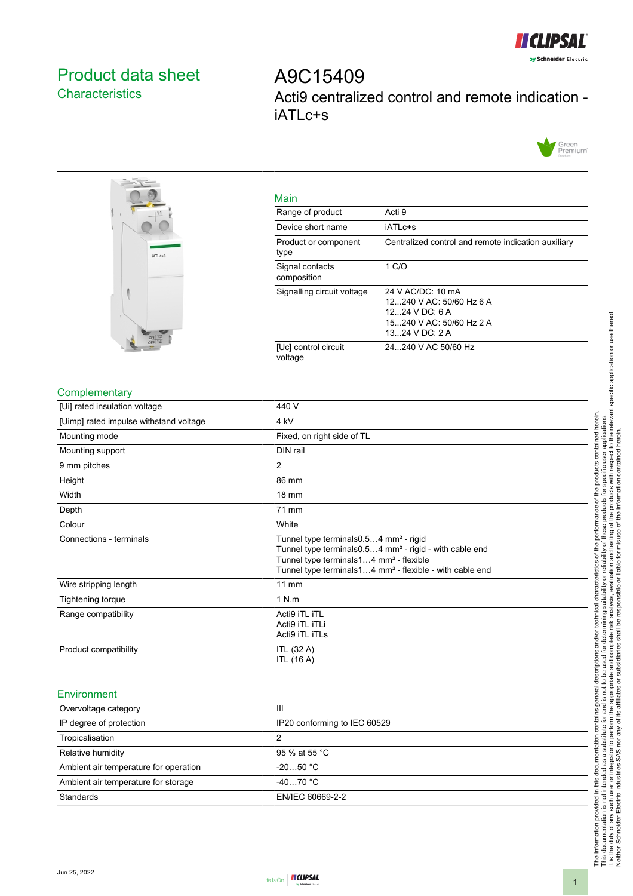

# <span id="page-0-0"></span>Product data sheet **Characteristics**

A9C15409 Acti9 centralized control and remote indication iATLc+s





| Main                            |                                                                                                                 |
|---------------------------------|-----------------------------------------------------------------------------------------------------------------|
| Range of product                | Acti 9                                                                                                          |
| Device short name               | iATL <sub>c</sub> +s                                                                                            |
| Product or component<br>type    | Centralized control and remote indication auxiliary                                                             |
| Signal contacts<br>composition  | 1 C/O                                                                                                           |
| Signalling circuit voltage      | 24 V AC/DC: 10 mA<br>12 240 V AC: 50/60 Hz 6 A<br>12 24 V DC 6 A<br>15 240 V AC: 50/60 Hz 2 A<br>13 24 V DC 2 A |
| [Uc] control circuit<br>voltage | 24240 V AC 50/60 Hz                                                                                             |

#### **Complementary**

| 440 V                                                                                                                                                                                                                                                  |
|--------------------------------------------------------------------------------------------------------------------------------------------------------------------------------------------------------------------------------------------------------|
| 4 <sub>kV</sub>                                                                                                                                                                                                                                        |
| Fixed, on right side of TL                                                                                                                                                                                                                             |
| DIN rail                                                                                                                                                                                                                                               |
| 2                                                                                                                                                                                                                                                      |
| 86 mm                                                                                                                                                                                                                                                  |
| 18 mm                                                                                                                                                                                                                                                  |
| 71 mm                                                                                                                                                                                                                                                  |
| White                                                                                                                                                                                                                                                  |
| Tunnel type terminals 0.54 mm <sup>2</sup> - rigid<br>Tunnel type terminals 0.54 mm <sup>2</sup> - rigid - with cable end<br>Tunnel type terminals14 mm <sup>2</sup> - flexible<br>Tunnel type terminals14 mm <sup>2</sup> - flexible - with cable end |
| $11 \text{ mm}$                                                                                                                                                                                                                                        |
| 1 N.m                                                                                                                                                                                                                                                  |
| Acti9 iTL iTL<br>Acti9 iTL iTLi<br>Acti9 iTL iTLs                                                                                                                                                                                                      |
| <b>ITL (32 A)</b><br><b>ITL (16 A)</b>                                                                                                                                                                                                                 |
|                                                                                                                                                                                                                                                        |

### Environment

| Overvoltage category                  | Ш                            |
|---------------------------------------|------------------------------|
| IP degree of protection               | IP20 conforming to IEC 60529 |
| Tropicalisation                       |                              |
| Relative humidity                     | 95 % at 55 °C                |
| Ambient air temperature for operation | $-2050 °C$                   |
| Ambient air temperature for storage   | $-4070 °C$                   |
| Standards                             | EN/IEC 60669-2-2             |